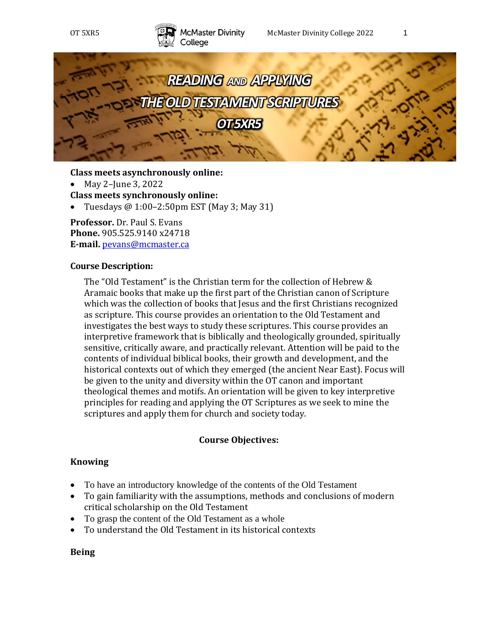



**Class meets asynchronously online:**

• May 2–June 3, 2022

**Class meets synchronously online:**

• Tuesdays  $@1:00-2:50 \text{pm EST}$  (May 3; May 31)

**Professor.** Dr. Paul S. Evans **Phone.** 905.525.9140 x24718 **E-mail.** [pevans@mcmaster.ca](mailto:pevans@mcmaster.ca)

### **Course Description:**

The "Old Testament" is the Christian term for the collection of Hebrew & Aramaic books that make up the first part of the Christian canon of Scripture which was the collection of books that Jesus and the first Christians recognized as scripture. This course provides an orientation to the Old Testament and investigates the best ways to study these scriptures. This course provides an interpretive framework that is biblically and theologically grounded, spiritually sensitive, critically aware, and practically relevant. Attention will be paid to the contents of individual biblical books, their growth and development, and the historical contexts out of which they emerged (the ancient Near East). Focus will be given to the unity and diversity within the OT canon and important theological themes and motifs. An orientation will be given to key interpretive principles for reading and applying the OT Scriptures as we seek to mine the scriptures and apply them for church and society today.

### **Course Objectives:**

### **Knowing**

- To have an introductory knowledge of the contents of the Old Testament
- To gain familiarity with the assumptions, methods and conclusions of modern critical scholarship on the Old Testament
- To grasp the content of the Old Testament as a whole
- To understand the Old Testament in its historical contexts

### **Being**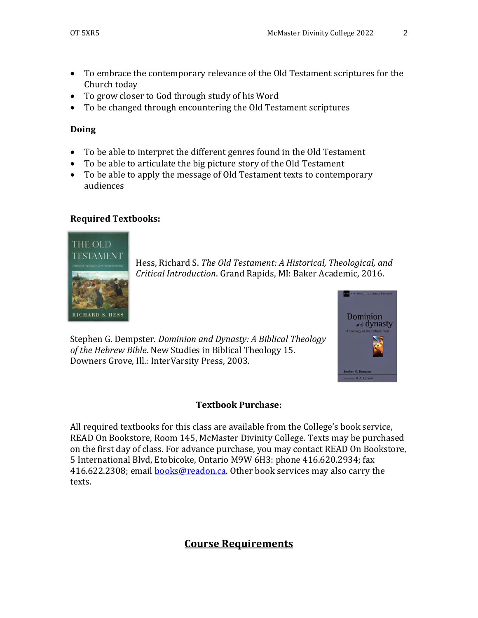**Dominion** and dynasty

- To embrace the contemporary relevance of the Old Testament scriptures for the Church today
- To grow closer to God through study of his Word
- To be changed through encountering the Old Testament scriptures

### **Doing**

- To be able to interpret the different genres found in the Old Testament
- To be able to articulate the big picture story of the Old Testament
- To be able to apply the message of Old Testament texts to contemporary audiences

### **Required Textbooks:**



Hess, Richard S. *The Old Testament: A Historical, Theological, and Critical Introduction*. Grand Rapids, MI: Baker Academic, 2016.

Stephen G. Dempster. *Dominion and Dynasty: A Biblical Theology of the Hebrew Bible*. New Studies in Biblical Theology 15. Downers Grove, Ill.: InterVarsity Press, 2003.

### **Textbook Purchase:**

All required textbooks for this class are available from the College's book service, READ On Bookstore, Room 145, McMaster Divinity College. Texts may be purchased on the first day of class. For advance purchase, you may contact READ On Bookstore, 5 International Blvd, Etobicoke, Ontario M9W 6H3: phone 416.620.2934; fax 416.622.2308; email [books@readon.ca.](mailto:books@readon.ca) Other book services may also carry the texts.

# **Course Requirements**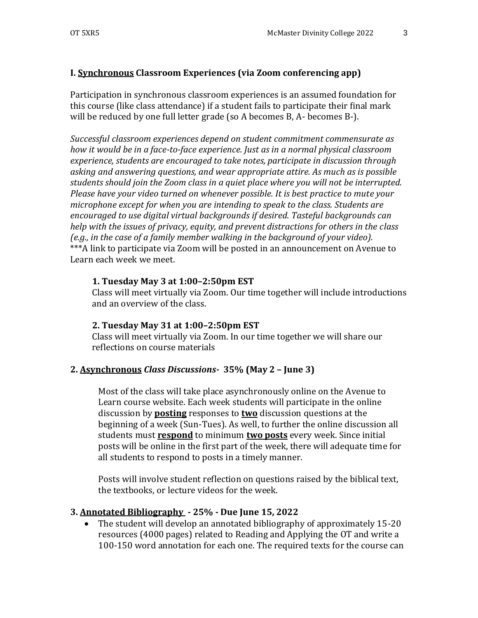# **I. Synchronous Classroom Experiences (via Zoom conferencing app)**

Participation in synchronous classroom experiences is an assumed foundation for this course (like class attendance) if a student fails to participate their final mark will be reduced by one full letter grade (so A becomes B, A- becomes B-).

*Successful classroom experiences depend on student commitment commensurate as how it would be in a face-to-face experience. Just as in a normal physical classroom experience, students are encouraged to take notes, participate in discussion through asking and answering questions, and wear appropriate attire. As much as is possible students should join the Zoom class in a quiet place where you will not be interrupted. Please have your video turned on whenever possible. It is best practice to mute your microphone except for when you are intending to speak to the class. Students are encouraged to use digital virtual backgrounds if desired. Tasteful backgrounds can help with the issues of privacy, equity, and prevent distractions for others in the class (e.g., in the case of a family member walking in the background of your video).* \*\*\*A link to participate via Zoom will be posted in an announcement on Avenue to Learn each week we meet.

## **1. Tuesday May 3 at 1:00–2:50pm EST**

Class will meet virtually via Zoom. Our time together will include introductions and an overview of the class.

### **2. Tuesday May 31 at 1:00–2:50pm EST**

Class will meet virtually via Zoom. In our time together we will share our reflections on course materials

# **2. Asynchronous** *Class Discussions-* **35% (May 2 – June 3)**

Most of the class will take place asynchronously online on the Avenue to Learn course website. Each week students will participate in the online discussion by **posting** responses to **two** discussion questions at the beginning of a week (Sun-Tues). As well, to further the online discussion all students must **respond** to minimum **two posts** every week. Since initial posts will be online in the first part of the week, there will adequate time for all students to respond to posts in a timely manner.

Posts will involve student reflection on questions raised by the biblical text, the textbooks, or lecture videos for the week.

# **3. Annotated Bibliography - 25% - Due June 15, 2022**

• The student will develop an annotated bibliography of approximately 15-20 resources (4000 pages) related to Reading and Applying the OT and write a 100-150 word annotation for each one. The required texts for the course can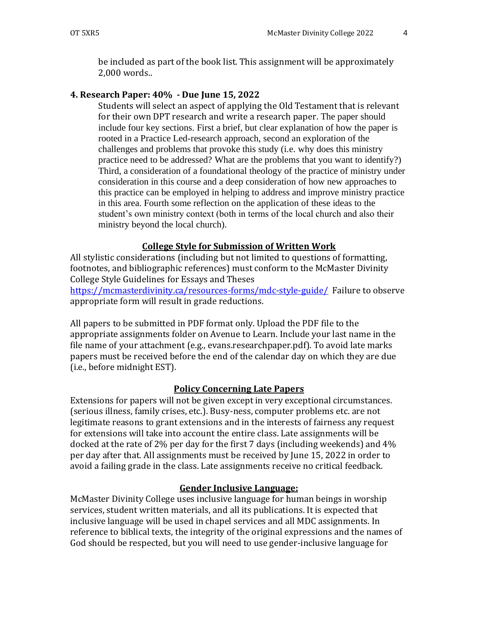be included as part of the book list. This assignment will be approximately 2,000 words..

### **4. Research Paper: 40% - Due June 15, 2022**

Students will select an aspect of applying the Old Testament that is relevant for their own DPT research and write a research paper. The paper should include four key sections. First a brief, but clear explanation of how the paper is rooted in a Practice Led-research approach, second an exploration of the challenges and problems that provoke this study (i.e. why does this ministry practice need to be addressed? What are the problems that you want to identify?) Third, a consideration of a foundational theology of the practice of ministry under consideration in this course and a deep consideration of how new approaches to this practice can be employed in helping to address and improve ministry practice in this area. Fourth some reflection on the application of these ideas to the student's own ministry context (both in terms of the local church and also their ministry beyond the local church).

#### **College Style for Submission of Written Work**

All stylistic considerations (including but not limited to questions of formatting, footnotes, and bibliographic references) must conform to the McMaster Divinity College Style Guidelines for Essays and Theses

<https://mcmasterdivinity.ca/resources-forms/mdc-style-guide/>Failure to observe appropriate form will result in grade reductions.

All papers to be submitted in PDF format only. Upload the PDF file to the appropriate assignments folder on Avenue to Learn. Include your last name in the file name of your attachment (e.g., evans.researchpaper.pdf). To avoid late marks papers must be received before the end of the calendar day on which they are due (i.e., before midnight EST).

#### **Policy Concerning Late Papers**

Extensions for papers will not be given except in very exceptional circumstances. (serious illness, family crises, etc.). Busy-ness, computer problems etc. are not legitimate reasons to grant extensions and in the interests of fairness any request for extensions will take into account the entire class. Late assignments will be docked at the rate of 2% per day for the first 7 days (including weekends) and 4% per day after that. All assignments must be received by June 15, 2022 in order to avoid a failing grade in the class. Late assignments receive no critical feedback.

#### **Gender Inclusive Language:**

McMaster Divinity College uses inclusive language for human beings in worship services, student written materials, and all its publications. It is expected that inclusive language will be used in chapel services and all MDC assignments. In reference to biblical texts, the integrity of the original expressions and the names of God should be respected, but you will need to use gender-inclusive language for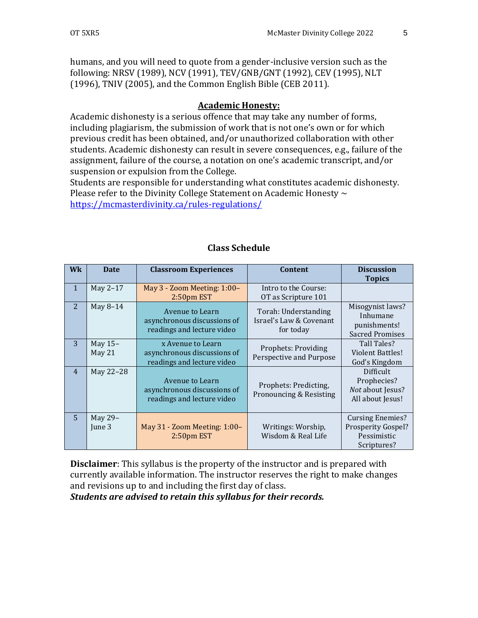humans, and you will need to quote from a gender-inclusive version such as the following: NRSV (1989), NCV (1991), TEV/GNB/GNT (1992), CEV (1995), NLT (1996), TNIV (2005), and the Common English Bible (CEB 2011).

### **Academic Honesty:**

Academic dishonesty is a serious offence that may take any number of forms, including plagiarism, the submission of work that is not one's own or for which previous credit has been obtained, and/or unauthorized collaboration with other students. Academic dishonesty can result in severe consequences, e.g., failure of the assignment, failure of the course, a notation on one's academic transcript, and/or suspension or expulsion from the College.

Students are responsible for understanding what constitutes academic dishonesty. Please refer to the Divinity College Statement on Academic Honesty  $\sim$ <https://mcmasterdivinity.ca/rules-regulations/>

| <b>Wk</b>      | <b>Date</b>       | <b>Classroom Experiences</b>                                                   | Content                                                      | <b>Discussion</b>                                                                  |
|----------------|-------------------|--------------------------------------------------------------------------------|--------------------------------------------------------------|------------------------------------------------------------------------------------|
| $\mathbf{1}$   | May 2-17          | May $3 -$ Zoom Meeting: $1:00 -$                                               | Intro to the Course:                                         | <b>Topics</b>                                                                      |
|                |                   | $2:50pm$ EST                                                                   | OT as Scripture 101                                          |                                                                                    |
| 2              | May 8-14          | Avenue to Learn<br>asynchronous discussions of<br>readings and lecture video   | Torah: Understanding<br>Israel's Law & Covenant<br>for today | Misogynist laws?<br>Inhumane<br>punishments!<br><b>Sacred Promises</b>             |
| 3              | May 15-<br>May 21 | x Avenue to Learn<br>asynchronous discussions of<br>readings and lecture video | Prophets: Providing<br>Perspective and Purpose               | Tall Tales?<br><b>Violent Battles!</b><br>God's Kingdom                            |
| $\overline{4}$ | May 22-28         | Avenue to Learn<br>asynchronous discussions of<br>readings and lecture video   | Prophets: Predicting,<br>Pronouncing & Resisting             | Difficult<br>Prophecies?<br>Not about Jesus?<br>All about Jesus!                   |
| $\overline{5}$ | May 29-<br>June 3 | May 31 - Zoom Meeting: 1:00-<br>$2:50pm$ EST                                   | Writings: Worship,<br>Wisdom & Real Life                     | <b>Cursing Enemies?</b><br><b>Prosperity Gospel?</b><br>Pessimistic<br>Scriptures? |

# **Class Schedule**

**Disclaimer**: This syllabus is the property of the instructor and is prepared with currently available information. The instructor reserves the right to make changes and revisions up to and including the first day of class.

*Students are advised to retain this syllabus for their records.*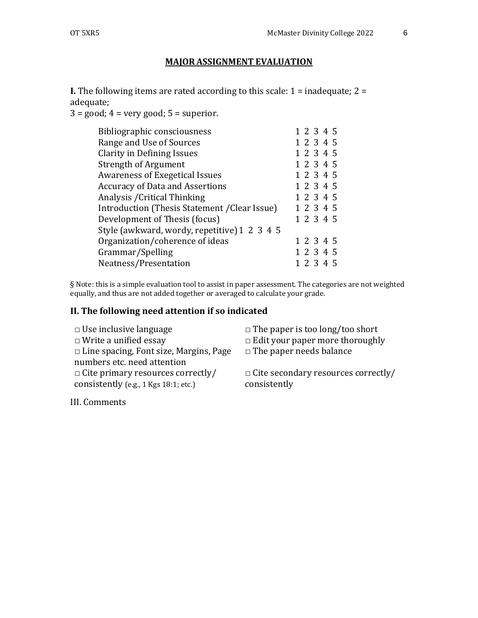# **MAJOR ASSIGNMENT EVALUATION**

**I.** The following items are rated according to this scale: 1 = inadequate; 2 = adequate;

 $3 = \text{good}$ ;  $4 = \text{very good}$ ;  $5 = \text{superior}$ .

| Bibliographic consciousness                   | 1 2 3 4 5 |
|-----------------------------------------------|-----------|
| Range and Use of Sources                      | 1 2 3 4 5 |
| Clarity in Defining Issues                    | 1 2 3 4 5 |
| <b>Strength of Argument</b>                   | 1 2 3 4 5 |
| <b>Awareness of Exegetical Issues</b>         | 1 2 3 4 5 |
| <b>Accuracy of Data and Assertions</b>        | 1 2 3 4 5 |
| Analysis / Critical Thinking                  | 1 2 3 4 5 |
| Introduction (Thesis Statement / Clear Issue) | 1 2 3 4 5 |
| Development of Thesis (focus)                 | 1 2 3 4 5 |
| Style (awkward, wordy, repetitive) 1 2 3 4 5  |           |
| Organization/coherence of ideas               | 1 2 3 4 5 |
| Grammar/Spelling                              | 1 2 3 4 5 |
| Neatness/Presentation                         | 1 2 3 4 5 |
|                                               |           |

§ Note: this is a simple evaluation tool to assist in paper assessment. The categories are not weighted equally, and thus are not added together or averaged to calculate your grade.

# **II. The following need attention if so indicated**

| $\Box$ Use inclusive language                 | $\Box$ The paper is too long/too short     |
|-----------------------------------------------|--------------------------------------------|
| $\Box$ Write a unified essay                  | $\Box$ Edit your paper more thoroughly     |
| $\Box$ Line spacing, Font size, Margins, Page | $\Box$ The paper needs balance             |
| numbers etc. need attention                   |                                            |
| $\Box$ Cite primary resources correctly/      | $\Box$ Cite secondary resources correctly/ |
| consistently (e.g., 1 Kgs 18:1; etc.)         | consistently                               |

III. Comments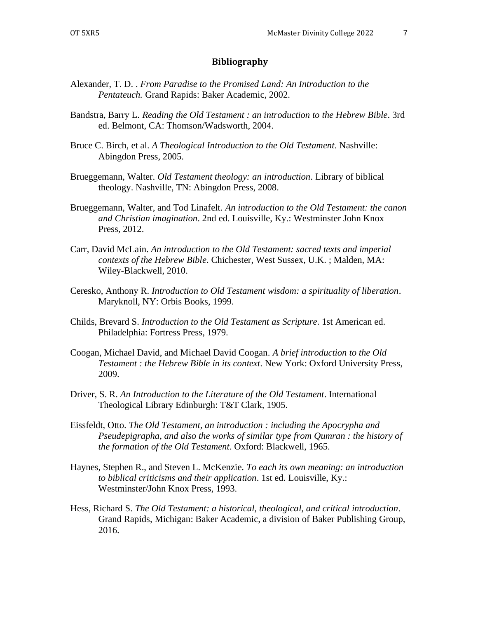#### **Bibliography**

- Alexander, T. D. . *From Paradise to the Promised Land: An Introduction to the Pentateuch.* Grand Rapids: Baker Academic, 2002.
- Bandstra, Barry L. *Reading the Old Testament : an introduction to the Hebrew Bible*. 3rd ed. Belmont, CA: Thomson/Wadsworth, 2004.
- Bruce C. Birch, et al. *A Theological Introduction to the Old Testament*. Nashville: Abingdon Press, 2005.
- Brueggemann, Walter. *Old Testament theology: an introduction*. Library of biblical theology. Nashville, TN: Abingdon Press, 2008.
- Brueggemann, Walter, and Tod Linafelt. *An introduction to the Old Testament: the canon and Christian imagination*. 2nd ed. Louisville, Ky.: Westminster John Knox Press, 2012.
- Carr, David McLain. *An introduction to the Old Testament: sacred texts and imperial contexts of the Hebrew Bible*. Chichester, West Sussex, U.K. ; Malden, MA: Wiley-Blackwell, 2010.
- Ceresko, Anthony R. *Introduction to Old Testament wisdom: a spirituality of liberation*. Maryknoll, NY: Orbis Books, 1999.
- Childs, Brevard S. *Introduction to the Old Testament as Scripture*. 1st American ed. Philadelphia: Fortress Press, 1979.
- Coogan, Michael David, and Michael David Coogan. *A brief introduction to the Old Testament : the Hebrew Bible in its context*. New York: Oxford University Press, 2009.
- Driver, S. R. *An Introduction to the Literature of the Old Testament*. International Theological Library Edinburgh: T&T Clark, 1905.
- Eissfeldt, Otto. *The Old Testament, an introduction : including the Apocrypha and Pseudepigrapha, and also the works of similar type from Qumran : the history of the formation of the Old Testament*. Oxford: Blackwell, 1965.
- Haynes, Stephen R., and Steven L. McKenzie. *To each its own meaning: an introduction to biblical criticisms and their application*. 1st ed. Louisville, Ky.: Westminster/John Knox Press, 1993.
- Hess, Richard S. *The Old Testament: a historical, theological, and critical introduction*. Grand Rapids, Michigan: Baker Academic, a division of Baker Publishing Group, 2016.